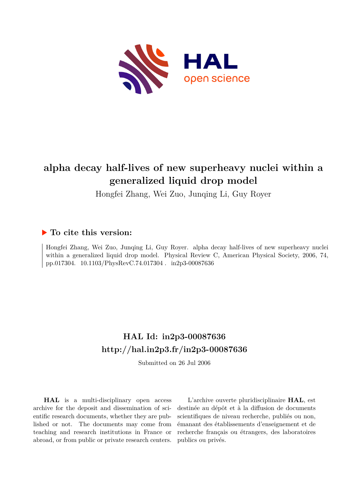

# **alpha decay half-lives of new superheavy nuclei within a generalized liquid drop model**

Hongfei Zhang, Wei Zuo, Junqing Li, Guy Royer

### **To cite this version:**

Hongfei Zhang, Wei Zuo, Junqing Li, Guy Royer. alpha decay half-lives of new superheavy nuclei within a generalized liquid drop model. Physical Review C, American Physical Society, 2006, 74, pp.017304. 10.1103/PhysRevC.74.017304. in2p3-00087636

## **HAL Id: in2p3-00087636 <http://hal.in2p3.fr/in2p3-00087636>**

Submitted on 26 Jul 2006

**HAL** is a multi-disciplinary open access archive for the deposit and dissemination of scientific research documents, whether they are published or not. The documents may come from teaching and research institutions in France or abroad, or from public or private research centers.

L'archive ouverte pluridisciplinaire **HAL**, est destinée au dépôt et à la diffusion de documents scientifiques de niveau recherche, publiés ou non, émanant des établissements d'enseignement et de recherche français ou étrangers, des laboratoires publics ou privés.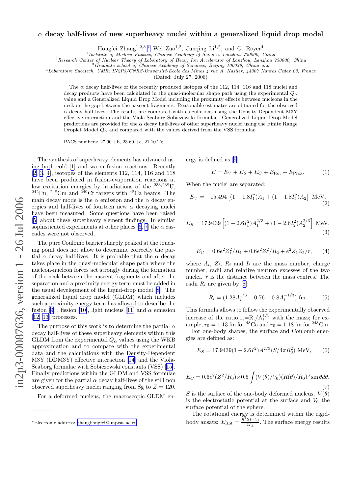# in2p3-00087636, version 1 - 26 Jul 2006 in2p3-00087636, version 1 - 26 Jul 2006

### $\alpha$  decay half-lives of new superheavy nuclei within a generalized liquid drop model

Hongfei Zhang<sup>1,2,3</sup>,\* Wei Zuo<sup>1,2</sup>, Junqing Li<sup>1,2</sup>, and G. Royer<sup>4</sup>

<sup>1</sup> Institute of Modern Physics, Chinese Academy of Science, Lanzhou 730000, China

<sup>2</sup>Research Center of Nuclear Theory of Laboratory of Heavy Ion Accelerator of Lanzhou, Lanzhou 730000, China  ${}^{3}$ Graduate school of Chinese Academy of Sciences, Beijing 100039, China and

 $4$ Laboratoire Subatech, UMR: IN2P3/CNRS-Université-Ecole des Mines  $4$  rue A. Kastler,  $44307$  Nantes Cedex 03, France

(Dated: July 27, 2006)

The  $\alpha$  decay half-lives of the recently produced isotopes of the 112, 114, 116 and 118 nuclei and decay products have been calculated in the quasi-molecular shape path using the experimental  $Q_{\alpha}$ value and a Generalized Liquid Drop Model including the proximity effects between nucleons in the neck or the gap between the nascent fragments. Reasonable estimates are obtained for the observed  $\alpha$  decay half-lives. The results are compared with calculations using the Density-Dependent M3Y effective interaction and the Viola-Seaborg-Sobiczewski formulae. Generalized Liquid Drop Model predictions are provided for the  $\alpha$  decay half-lives of other superheavy nuclei using the Finite Range Droplet Model  $Q_{\alpha}$  and compared with the values derived from the VSS formulae.

PACS numbers: 27.90.+b, 23.60.+e, 21.10.Tg

The synthesis of superheavy elements has advanced using both cold [\[1](#page-4-0)] and warm fusion reactions. Recently [[2, 3](#page-4-0), [4\]](#page-4-0), isotopes of the elements 112, 114, 116 and 118 have been produced in fusion-evaporation reactions at low excitation energies by irradiations of the <sup>233,238</sup>U,  $^{242}Pu$ ,  $^{248}Cm$  and  $^{249}Cf$  targets with  $^{48}Ca$  beams. The main decay mode is the  $\alpha$  emission and the  $\alpha$  decay energies and half-lives of fourteen new  $\alpha$  decaying nuclei have been measured. Some questions have been raised [[5\]](#page-4-0) about these superheavy element findings. In similar sophisticated experiments at other places [\[6](#page-4-0), [7\]](#page-4-0) the  $\alpha$  cascades were not observed.

The pure Coulomb barrier sharply peaked at the touching point does not allow to determine correctly the partial  $\alpha$  decay half-lives. It is probable that the  $\alpha$  decay takes place in the quasi-molecular shape path where the nucleon-nucleon forces act strongly during the formation of the neck between the nascent fragments and after the separation and a proximity energy term must be added in the usual development of the liquid-drop model [\[8\]](#page-4-0). The generalized liquid drop model (GLDM) which includes such a proximity energy term has allowed to describe the fusion [\[9](#page-4-0)], fission [\[10\]](#page-4-0),light nucleus [[11\]](#page-4-0) and  $\alpha$  emission  $[12, 13]$  $[12, 13]$  processes.

The purpose of this work is to determine the partial  $\alpha$ decay half-lives of these superheavy elements within this GLDM from the experimental  $Q_{\alpha}$  values using the WKB approximation and to compare with the experimental data and the calculations with the Density-Dependent M3Y (DDM3Y) effective interaction [\[14](#page-4-0)] and the Viola-Seaborg formulae with Sobiczewski constants (VSS)[[15\]](#page-4-0). Finally predictions within the GLDM and VSS formulae are given for the partial  $\alpha$  decay half-lives of the still non observed superheavy nuclei ranging from Sg to  $Z = 120$ .

For a deformed nucleus, the macroscopic GLDM en-

ergy is defined as [\[9](#page-4-0)].

$$
E = E_V + E_S + E_C + E_{\text{Rot}} + E_{\text{Prox}}.
$$
 (1)

When the nuclei are separated:

$$
E_V = -15.494 [(1 - 1.8I_1^2)A_1 + (1 - 1.8I_2^2)A_2] \text{ MeV},
$$
\n(2)

$$
E_S = 17.9439 \left[ (1 - 2.6I_1^2) A_1^{2/3} + (1 - 2.6I_2^2) A_2^{2/3} \right] \text{ MeV},\tag{3}
$$

$$
E_C = 0.6e^2 Z_1^2 / R_1 + 0.6e^2 Z_2^2 / R_2 + e^2 Z_1 Z_2 / r, \qquad (4)
$$

where  $A_i$ ,  $Z_i$ ,  $R_i$  and  $I_i$  are the mass number, charge number, radii and relative neutron excesses of the two nuclei. r is the distance between the mass centres. The radii $R_i$  are given by [[8\]](#page-4-0):

$$
R_i = (1.28A_i^{1/3} - 0.76 + 0.8A_i^{-1/3})
$$
 fm. (5)

This formula allows to follow the experimentally observed increase of the ratio  $r_i = R_i / A_i^{1/3}$  with the mass; for example,  $r_0 = 1.13$  fm for <sup>48</sup>Ca and  $r_0 = 1.18$  fm for <sup>248</sup>Cm.

For one-body shapes, the surface and Coulomb energies are defined as:

$$
E_S = 17.9439(1 - 2.6I^2)A^{2/3}(S/4\pi R_0^2) \text{ MeV}, \quad (6)
$$

$$
E_C = 0.6e^2(Z^2/R_0) \times 0.5 \int (V(\theta)/V_0)(R(\theta)/R_0)^3 \sin \theta d\theta.
$$
\n(7)

S is the surface of the one-body deformed nucleus.  $V(\theta)$ is the electrostatic potential at the surface and  $V_0$  the surface potential of the sphere.

The rotational energy is determined within the rigidbody ansatz:  $E_{\text{Rot}} = \frac{\tilde{h}^2 l(l+1)}{2I_{\perp}}$ . The surface energy results

<sup>∗</sup>Electronic address: [zhanghongfei@impcas.ac.cn](mailto:zhanghongfei@impcas.ac.cn)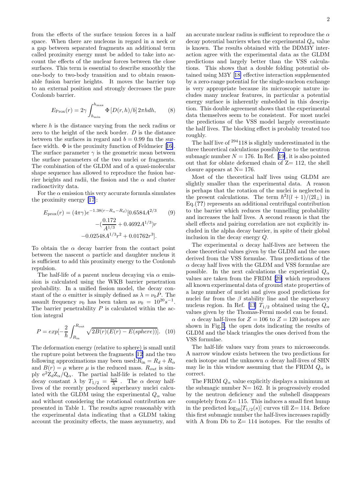from the effects of the surface tension forces in a half space. When there are nucleons in regard in a neck or a gap between separated fragments an additional term called proximity energy must be added to take into account the effects of the nuclear forces between the close surfaces. This term is essential to describe smoothly the one-body to two-body transition and to obtain reasonable fusion barrier heights. It moves the barrier top to an external position and strongly decreases the pure Coulomb barrier.

$$
E_{\rm Prox}(r) = 2\gamma \int_{h_{\rm min}}^{h_{\rm max}} \Phi \left[ D(r, h)/b \right] 2\pi h dh, \qquad (8)
$$

where  $h$  is the distance varying from the neck radius or zero to the height of the neck border. D is the distance between the surfaces in regard and  $b = 0.99$  fm the surfacewidth.  $\Phi$  is the proximity function of Feldmeier [[16\]](#page-4-0). The surface parameter  $\gamma$  is the geometric mean between the surface parameters of the two nuclei or fragments. The combination of the GLDM and of a quasi-molecular shape sequence has allowed to reproduce the fusion barrier heights and radii, the fission and the  $\alpha$  and cluster radioactivity data.

For the  $\alpha$  emission this very accurate formula simulates the proximity energy [\[17](#page-4-0)]:

$$
E_{\text{prox}}(r) = (4\pi\gamma)e^{-1.38(r - R_{\alpha} - R_d)}[0.6584A^{2/3} \qquad (9)
$$

$$
-(\frac{0.172}{A^{1/3}} + 0.4692A^{1/3})r
$$

$$
-0.02548A^{1/3}r^2 + 0.01762r^3].
$$

To obtain the  $\alpha$  decay barrier from the contact point between the nascent  $\alpha$  particle and daughter nucleus it is sufficient to add this proximity energy to the Coulomb repulsion.

The half-life of a parent nucleus decaying via  $\alpha$  emission is calculated using the WKB barrier penetration probability. In a unified fission model, the decay constant of the  $\alpha$  emitter is simply defined as  $\lambda = \nu_0 P$ . The assault frequency  $\nu_0$  has been taken as  $\nu_0 = 10^{20} s^{-1}$ . The barrier penetrability  $P$  is calculated within the action integral

$$
P = exp[-\frac{2}{\hbar} \int_{R_{\text{in}}}^{R_{\text{out}}} \sqrt{2B(r)(E(r) - E(sphere))}].
$$
 (10)

The deformation energy (relative to sphere) is small until the rupture point between the fragments [\[12](#page-4-0)] and the two following approximations may been used: $R_{\rm in} = R_d + R_\alpha$ and  $B(r) = \mu$  where  $\mu$  is the reduced mass.  $R_{out}$  is simply  $e^2 Z_d Z_\alpha/Q_\alpha$ . The partial half-life is related to the decay constant  $\lambda$  by  $T_{1/2} = \frac{\ln 2}{\lambda}$ . The  $\alpha$  decay halflives of the recently produced superheavy nuclei calculated with the GLDM using the experimental  $Q_{\alpha}$  value and without considering the rotational contribution are presented in Table 1. The results agree reasonably with the experimental data indicating that a GLDM taking account the proximity effects, the mass asymmetry, and an accurate nuclear radius is sufficient to reproduce the  $\alpha$ decay potential barriers when the experimental  $Q_{\alpha}$  value is known. The results obtained with the DDM3Y interaction agree with the experimental data as the GLDM predictions and largely better than the VSS calculations. This shows that a double folding potential obtained using M3Y[[18\]](#page-4-0) effective interaction supplemented by a zero-range potential for the single-nucleon exchange is very appropriate because its microscopic nature includes many nuclear features, in particular a potential energy surface is inherently embedded in this description. This double agreement shows that the experimental data themselves seem to be consistent. For most nuclei the predictions of the VSS model largely overestimate the half lives. The blocking effect is probably treated too

The half live of <sup>294</sup>118 is slightly underestimated in the three theoretical calculations possibly due to the neutron submagicnumber  $N = 176$ . In Ref. [[19\]](#page-4-0), it is also pointed out that for oblate deformed chain of  $Z=112$ , the shell closure appears at  $N= 176$ .

roughly.

Most of the theoretical half lives using GLDM are slightly smaller than the experimental data. A reason is perhaps that the rotation of the nuclei is neglected in the present calculations. The term  $\hbar^2 l(l+1)/(2I_\perp)$  in Eq.(??) represents an additional centrifugal contribution to the barrier which reduces the tunnelling probability and increases the half lives. A second reason is that the shell effects and pairing correlation are not explicitly included in the alpha decay barrier, in spite of their global inclusion in the decay energy Q.

The experimental  $\alpha$  decay half-lives are between the close theoretical values given by the GLDM and the ones derived from the VSS formulae. Thus predictions of the  $\alpha$  decay half lives with the GLDM and VSS formulae are possible. In the next calculations the experiential  $Q_{\alpha}$ values are taken from the FRDM[[20\]](#page-4-0) which reproduces all known experimental data of ground state properties of a large number of nuclei and gives good predictions for nuclei far from the  $\beta$  stability line and the superheavy nucleus region. In Ref. [\[13](#page-4-0)]  $T_{1/2}$  obtained using the  $Q_{\alpha}$ values given by the Thomas-Fermi model can be found.

 $\alpha$  decay half-lives for  $Z = 106$  to  $Z = 120$  isotopes are shown in Fig.[1,](#page-3-0) the open dots indicating the results of GLDM and the black triangles the ones derived from the VSS formulae.

The half-life values vary from years to microseconds. A narrow window exists between the two predictions for each isotope and the unknown  $\alpha$  decay half-lives of SHN may lie in this window assuming that the FRDM  $Q_{\alpha}$  is correct.

The FRDM  $Q_{\alpha}$  value explicitly displays a minimum at the submagic number  $N= 162$ . It is progressively eroded by the neutron deficiency and the subshell disappears completely from  $Z=115$ . This induces a small first hump in the predicted  $log_{10}[T_{1/2}(s)]$  curves till Z= 114. Before this first submagic number the half-lives increases rapidly with A from Db to  $Z=114$  isotopes. For the results of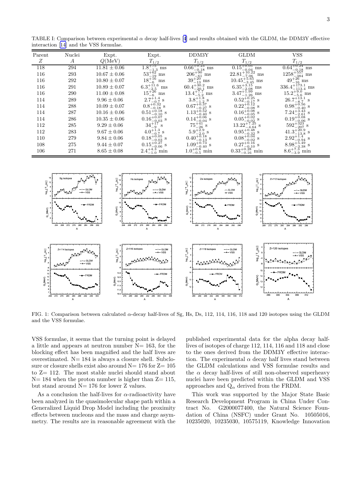| $\mu$ interaction [14] and the $\nu$ so formulae. |                  |               |                                                                                                                                                                                                                                                                                                                                                                                  |                                                                                                                                                                                                                                                                                                                                                                           |                                                                                                                                                                                                                                                                                                                                                                                                                                            |
|---------------------------------------------------|------------------|---------------|----------------------------------------------------------------------------------------------------------------------------------------------------------------------------------------------------------------------------------------------------------------------------------------------------------------------------------------------------------------------------------|---------------------------------------------------------------------------------------------------------------------------------------------------------------------------------------------------------------------------------------------------------------------------------------------------------------------------------------------------------------------------|--------------------------------------------------------------------------------------------------------------------------------------------------------------------------------------------------------------------------------------------------------------------------------------------------------------------------------------------------------------------------------------------------------------------------------------------|
| Nuclei                                            | Expt.            |               | DDM3Y                                                                                                                                                                                                                                                                                                                                                                            | <b>GLDM</b>                                                                                                                                                                                                                                                                                                                                                               | <b>VSS</b>                                                                                                                                                                                                                                                                                                                                                                                                                                 |
| A                                                 | Q(MeV)           | $T_{\rm 1/2}$ | $T_{\rm 1/2}$                                                                                                                                                                                                                                                                                                                                                                    | $T_{1/2}$                                                                                                                                                                                                                                                                                                                                                                 | $T_{1/2}$                                                                                                                                                                                                                                                                                                                                                                                                                                  |
| 294                                               | $11.81 \pm 0.06$ |               |                                                                                                                                                                                                                                                                                                                                                                                  | $\rm ms$                                                                                                                                                                                                                                                                                                                                                                  | $\frac{0.64_{-0.18}^{+0.24} \text{ ms}}{1258_{-384}^{+557} \text{ ms}}$                                                                                                                                                                                                                                                                                                                                                                    |
| 293                                               | $10.67 \pm 0.06$ |               |                                                                                                                                                                                                                                                                                                                                                                                  | $\rm ms$                                                                                                                                                                                                                                                                                                                                                                  |                                                                                                                                                                                                                                                                                                                                                                                                                                            |
| 292                                               | $10.80 \pm 0.07$ | ms            |                                                                                                                                                                                                                                                                                                                                                                                  |                                                                                                                                                                                                                                                                                                                                                                           | $49^{+26}_{-16}$ ms                                                                                                                                                                                                                                                                                                                                                                                                                        |
| 291                                               | $10.89 \pm 0.07$ | $\rm ms$      |                                                                                                                                                                                                                                                                                                                                                                                  |                                                                                                                                                                                                                                                                                                                                                                           | $336.4^{+173.1}_{-113.4}$ ms                                                                                                                                                                                                                                                                                                                                                                                                               |
| 290                                               | $11.00 \pm 0.08$ | ms            |                                                                                                                                                                                                                                                                                                                                                                                  |                                                                                                                                                                                                                                                                                                                                                                           | $15.2^{+9.0}_{-5.6}$ ms                                                                                                                                                                                                                                                                                                                                                                                                                    |
| 289                                               | $9.96 \pm 0.06$  |               |                                                                                                                                                                                                                                                                                                                                                                                  |                                                                                                                                                                                                                                                                                                                                                                           | $26.7^{+13.1}_{-8.7}$<br>S                                                                                                                                                                                                                                                                                                                                                                                                                 |
| 288                                               | $10.09 \pm 0.07$ |               |                                                                                                                                                                                                                                                                                                                                                                                  |                                                                                                                                                                                                                                                                                                                                                                           | $0.98^{+0.56}_{-0.40}$ s                                                                                                                                                                                                                                                                                                                                                                                                                   |
| 287                                               | $10.16 \pm 0.06$ |               |                                                                                                                                                                                                                                                                                                                                                                                  |                                                                                                                                                                                                                                                                                                                                                                           | $7.24_{-2.61}^{+3.43}$<br>0.19 <sup>+0.08</sup>                                                                                                                                                                                                                                                                                                                                                                                            |
| 286                                               | $10.35 \pm 0.06$ |               |                                                                                                                                                                                                                                                                                                                                                                                  |                                                                                                                                                                                                                                                                                                                                                                           |                                                                                                                                                                                                                                                                                                                                                                                                                                            |
| 285                                               | $9.29 \pm 0.06$  |               |                                                                                                                                                                                                                                                                                                                                                                                  |                                                                                                                                                                                                                                                                                                                                                                           | $592^{+323}_{-207}$ s                                                                                                                                                                                                                                                                                                                                                                                                                      |
| 283                                               | $9.67 \pm 0.06$  |               |                                                                                                                                                                                                                                                                                                                                                                                  |                                                                                                                                                                                                                                                                                                                                                                           | $592^{+525}_{-207}$ s<br>41.3 <sup>+20.9</sup> s                                                                                                                                                                                                                                                                                                                                                                                           |
| 279                                               | $9.84 \pm 0.06$  |               |                                                                                                                                                                                                                                                                                                                                                                                  |                                                                                                                                                                                                                                                                                                                                                                           |                                                                                                                                                                                                                                                                                                                                                                                                                                            |
| 275                                               | $9.44 \pm 0.07$  |               |                                                                                                                                                                                                                                                                                                                                                                                  |                                                                                                                                                                                                                                                                                                                                                                           |                                                                                                                                                                                                                                                                                                                                                                                                                                            |
| 271                                               | $8.65 \pm 0.08$  |               | min                                                                                                                                                                                                                                                                                                                                                                              |                                                                                                                                                                                                                                                                                                                                                                           | $2.92^{+1.4}_{-0.94}$ s<br>8.98 <sup>+5.49</sup> s<br>8.6 <sup>+7.3</sup> min<br>8.6 <sup>+7.3</sup> min                                                                                                                                                                                                                                                                                                                                   |
|                                                   |                  |               | Expt.<br>$\frac{1.8^{+75}_{-1.3} \text{ ms}}{53^{+62}_{-19} \text{ ms}}$<br>$18^{+16}_{-6}$<br>$6.3_{-2.5}^{+11.6}$<br>$15^{+26}_{-6}$<br>$2.7^{+1.4}_{-0.7}$ s<br>$0.8^{+0.32}_{-0.18}$ s<br>$0.51^{+0.18}_{-0.10}$ s<br>0.16 <sup>+0.07</sup><br>0.16 <sup>-0.07</sup> s<br>$34^{+17}_{-9}$<br>$0.18^{+0.05}_{-0.03}$ s<br>$0.15^{+0.27}_{-0.06}$ s<br>$2.4^{+4.3}_{-1.0}$ min | $0.66^{+0.23}_{-0.18}$ ms<br>$206^{+90}_{-61}$ ms<br>$39^{+20}_{-13}$ ms<br>$60.4_{-20.1}^{+30.2}$ ms<br>$13.4^{+7.7}_{-5.2}$ ms<br>$3.8^{+1.8}_{-1.2}$ s<br>0.67 $^{+0.37}_{-0.27}$ s<br>$1.13_{-0.40}^{+0.52}$ s<br>0.14 <sup>+0.06</sup> s<br>$75^{\textcolor{red}{\bar{+}}\tilde{4}1}$<br>$0.40^{+5.18}_{-0.13}$ s<br>$1.09_{-0.40}^{+0.73}$ s<br>$1.0^{+0.8}_{-0.5}$ | $\substack{0.15_{-0.04}^{+0.05}\\22.81_{-7.06}^{+10.22}}$<br>$10.45_{-3.45}^{+5.65}$ ms<br>6.35 <sup>+3.15</sup> ms<br>3.47 <sup>+1.99</sup> ms<br>3.47 <sup>+1.99</sup> ms<br>$0.52_{-0.17}^{+0.25}$ s<br>$0.22^{+0.12}_{-0.08}$ s<br>$0.16_{-0.05}^{+0.08}$ s<br>$0.05_{-0.02}^{+0.02}$ s<br>$13.22_{-4.64}^{+7.25}$ s<br>$0.95_{-0.32}^{+0.48}$ s<br>$0.08^{+0.04}_{-0.02}$ s<br>$0.27^{+0.16}_{-0.10}$ s<br>$0.33^{+0.28}_{-0.16}$ min |

<span id="page-3-0"></span>TABLEI: Comparison between experimental  $\alpha$  decay half-lives [[4](#page-4-0)] and results obtained with the GLDM, the DDM3Y effective interaction[[14](#page-4-0)] and the VSS formulae.



FIG. 1: Comparison between calculated α-decay half-lives of Sg, Hs, Ds, 112, 114, 116, 118 and 120 isotopes using the GLDM and the VSS formulae.

VSS formulae, it seems that the turning point is delayed a little and appears at neutron number  $N= 163$ , for the blocking effect has been magnified and the half lives are overestimated.  $N = 184$  is always a closure shell. Subclosure or closure shells exist also around  $N= 176$  for  $Z= 105$ to Z= 112. The most stable nuclei should stand about  $N= 184$  when the proton number is higher than  $Z= 115$ , but stand around N= 176 for lower Z values.

As a conclusion the half-lives for  $\alpha$ -radioactivity have been analyzed in the quasimolecular shape path within a Generalized Liquid Drop Model including the proximity effects between nucleons and the mass and charge asymmetry. The results are in reasonable agreement with the published experimental data for the alpha decay halflives of isotopes of charge 112, 114, 116 and 118 and close to the ones derived from the DDM3Y effective interaction. The experimental  $\alpha$  decay half lives stand between the GLDM calculations and VSS formulae results and the  $\alpha$  decay half-lives of still non-observed superheavy nuclei have been predicted within the GLDM and VSS approaches and  $Q_{\alpha}$  derived from the FRDM.

This work was supported by the Major State Basic Research Development Program in China Under Contract No. G2000077400, the Natural Science Foundation of China (NSFC) under Grant No. 10505016, 10235020, 10235030, 10575119, Knowledge Innovation